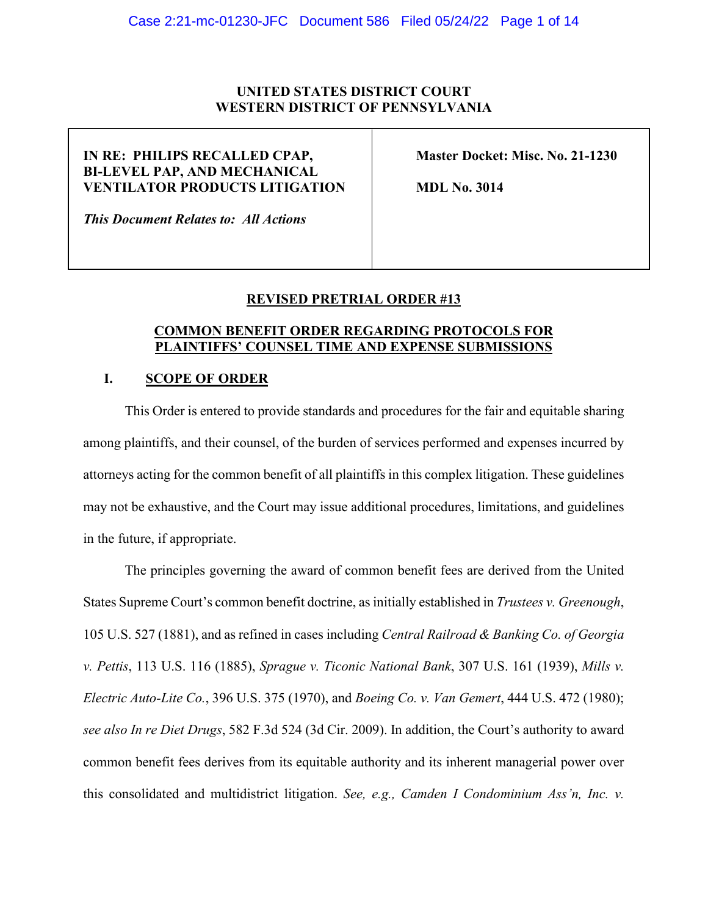## **UNITED STATES DISTRICT COURT WESTERN DISTRICT OF PENNSYLVANIA**

# **IN RE: PHILIPS RECALLED CPAP, Master Docket: Misc. No. 21-1230 BI-LEVEL PAP, AND MECHANICAL VENTILATOR PRODUCTS LITIGATION MDL No. 3014**

*This Document Relates to: All Actions* 

## **REVISED PRETRIAL ORDER #13**

## **COMMON BENEFIT ORDER REGARDING PROTOCOLS FOR PLAINTIFFS' COUNSEL TIME AND EXPENSE SUBMISSIONS**

### **I. SCOPE OF ORDER**

This Order is entered to provide standards and procedures for the fair and equitable sharing among plaintiffs, and their counsel, of the burden of services performed and expenses incurred by attorneys acting for the common benefit of all plaintiffs in this complex litigation. These guidelines may not be exhaustive, and the Court may issue additional procedures, limitations, and guidelines in the future, if appropriate.

The principles governing the award of common benefit fees are derived from the United States Supreme Court's common benefit doctrine, as initially established in *Trustees v. Greenough*, 105 U.S. 527 (1881), and as refined in cases including *Central Railroad & Banking Co. of Georgia v. Pettis*, 113 U.S. 116 (1885), *Sprague v. Ticonic National Bank*, 307 U.S. 161 (1939), *Mills v. Electric Auto-Lite Co.*, 396 U.S. 375 (1970), and *Boeing Co. v. Van Gemert*, 444 U.S. 472 (1980); *see also In re Diet Drugs*, 582 F.3d 524 (3d Cir. 2009). In addition, the Court's authority to award common benefit fees derives from its equitable authority and its inherent managerial power over this consolidated and multidistrict litigation. *See, e.g., Camden I Condominium Ass'n, Inc. v.*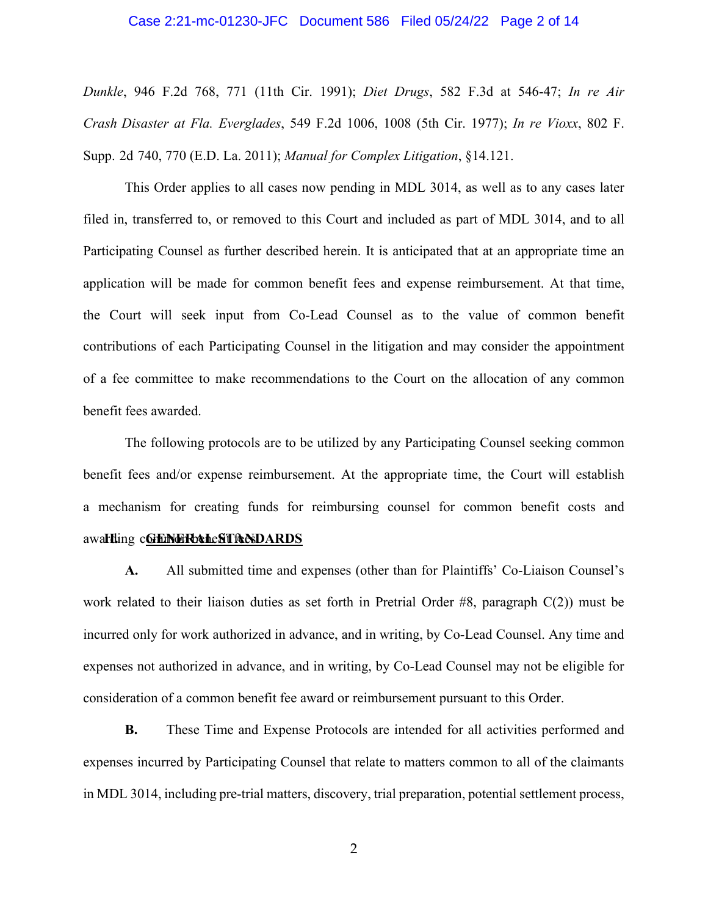#### Case 2:21-mc-01230-JFC Document 586 Filed 05/24/22 Page 2 of 14

*Dunkle*, 946 F.2d 768, 771 (11th Cir. 1991); *Diet Drugs*, 582 F.3d at 546-47; *In re Air Crash Disaster at Fla. Everglades*, 549 F.2d 1006, 1008 (5th Cir. 1977); *In re Vioxx*, 802 F. Supp. 2d 740, 770 (E.D. La. 2011); *Manual for Complex Litigation*, §14.121.

This Order applies to all cases now pending in MDL 3014, as well as to any cases later filed in, transferred to, or removed to this Court and included as part of MDL 3014, and to all Participating Counsel as further described herein. It is anticipated that at an appropriate time an application will be made for common benefit fees and expense reimbursement. At that time, the Court will seek input from Co-Lead Counsel as to the value of common benefit contributions of each Participating Counsel in the litigation and may consider the appointment of a fee committee to make recommendations to the Court on the allocation of any common benefit fees awarded.

awa**rding c<u>GrENCRb&heSTRADARDS</u>** The following protocols are to be utilized by any Participating Counsel seeking common benefit fees and/or expense reimbursement. At the appropriate time, the Court will establish a mechanism for creating funds for reimbursing counsel for common benefit costs and

**A.** All submitted time and expenses (other than for Plaintiffs' Co-Liaison Counsel's work related to their liaison duties as set forth in Pretrial Order #8, paragraph C(2)) must be incurred only for work authorized in advance, and in writing, by Co-Lead Counsel. Any time and expenses not authorized in advance, and in writing, by Co-Lead Counsel may not be eligible for consideration of a common benefit fee award or reimbursement pursuant to this Order.

**B.** These Time and Expense Protocols are intended for all activities performed and expenses incurred by Participating Counsel that relate to matters common to all of the claimants in MDL 3014, including pre-trial matters, discovery, trial preparation, potential settlement process,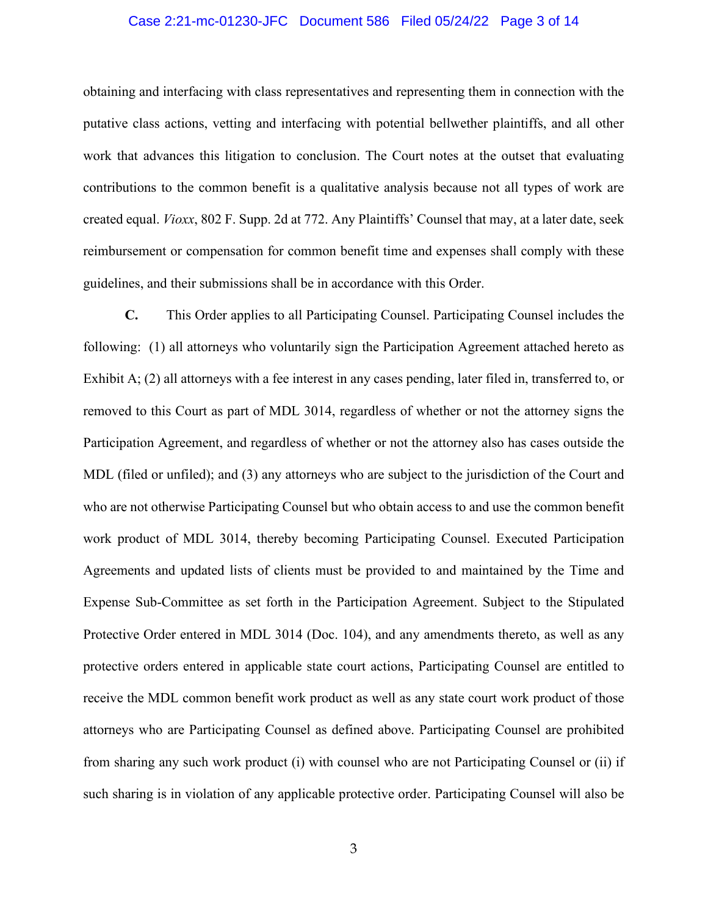### Case 2:21-mc-01230-JFC Document 586 Filed 05/24/22 Page 3 of 14

obtaining and interfacing with class representatives and representing them in connection with the putative class actions, vetting and interfacing with potential bellwether plaintiffs, and all other work that advances this litigation to conclusion. The Court notes at the outset that evaluating contributions to the common benefit is a qualitative analysis because not all types of work are created equal. *Vioxx*, 802 F. Supp. 2d at 772. Any Plaintiffs' Counsel that may, at a later date, seek reimbursement or compensation for common benefit time and expenses shall comply with these guidelines, and their submissions shall be in accordance with this Order.

**C.** This Order applies to all Participating Counsel. Participating Counsel includes the following: (1) all attorneys who voluntarily sign the Participation Agreement attached hereto as Exhibit A; (2) all attorneys with a fee interest in any cases pending, later filed in, transferred to, or removed to this Court as part of MDL 3014, regardless of whether or not the attorney signs the Participation Agreement, and regardless of whether or not the attorney also has cases outside the MDL (filed or unfiled); and (3) any attorneys who are subject to the jurisdiction of the Court and who are not otherwise Participating Counsel but who obtain access to and use the common benefit work product of MDL 3014, thereby becoming Participating Counsel. Executed Participation Agreements and updated lists of clients must be provided to and maintained by the Time and Expense Sub-Committee as set forth in the Participation Agreement. Subject to the Stipulated Protective Order entered in MDL 3014 (Doc. 104), and any amendments thereto, as well as any protective orders entered in applicable state court actions, Participating Counsel are entitled to receive the MDL common benefit work product as well as any state court work product of those attorneys who are Participating Counsel as defined above. Participating Counsel are prohibited from sharing any such work product (i) with counsel who are not Participating Counsel or (ii) if such sharing is in violation of any applicable protective order. Participating Counsel will also be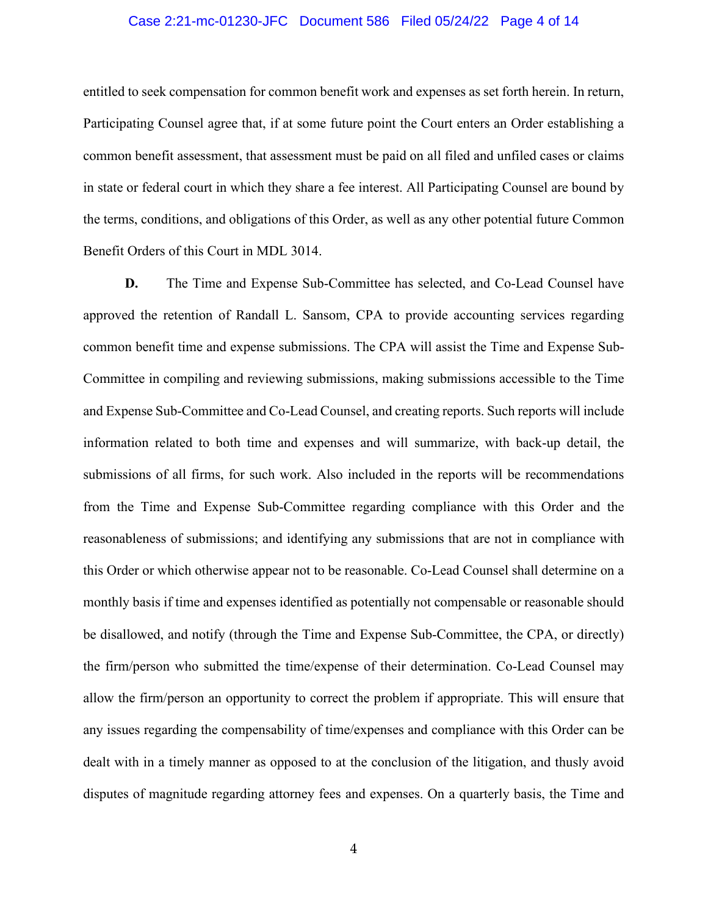### Case 2:21-mc-01230-JFC Document 586 Filed 05/24/22 Page 4 of 14

entitled to seek compensation for common benefit work and expenses as set forth herein. In return, Participating Counsel agree that, if at some future point the Court enters an Order establishing a common benefit assessment, that assessment must be paid on all filed and unfiled cases or claims in state or federal court in which they share a fee interest. All Participating Counsel are bound by the terms, conditions, and obligations of this Order, as well as any other potential future Common Benefit Orders of this Court in MDL 3014.

**D.** The Time and Expense Sub-Committee has selected, and Co-Lead Counsel have approved the retention of Randall L. Sansom, CPA to provide accounting services regarding common benefit time and expense submissions. The CPA will assist the Time and Expense Sub-Committee in compiling and reviewing submissions, making submissions accessible to the Time and Expense Sub-Committee and Co-Lead Counsel, and creating reports. Such reports will include information related to both time and expenses and will summarize, with back-up detail, the submissions of all firms, for such work. Also included in the reports will be recommendations from the Time and Expense Sub-Committee regarding compliance with this Order and the reasonableness of submissions; and identifying any submissions that are not in compliance with this Order or which otherwise appear not to be reasonable. Co-Lead Counsel shall determine on a monthly basis if time and expenses identified as potentially not compensable or reasonable should be disallowed, and notify (through the Time and Expense Sub-Committee, the CPA, or directly) the firm/person who submitted the time/expense of their determination. Co-Lead Counsel may allow the firm/person an opportunity to correct the problem if appropriate. This will ensure that any issues regarding the compensability of time/expenses and compliance with this Order can be dealt with in a timely manner as opposed to at the conclusion of the litigation, and thusly avoid disputes of magnitude regarding attorney fees and expenses. On a quarterly basis, the Time and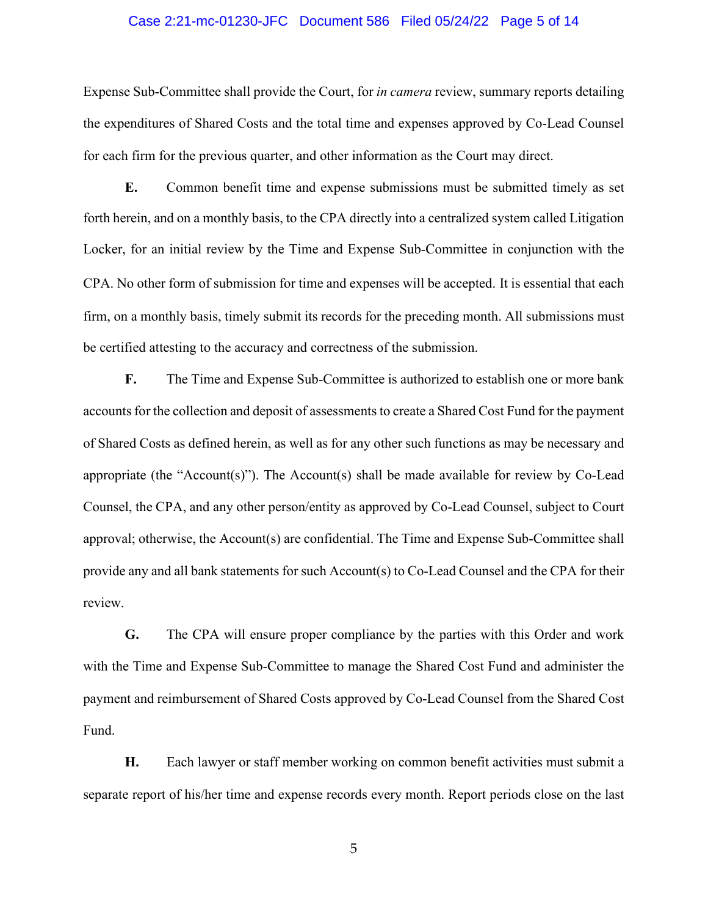### Case 2:21-mc-01230-JFC Document 586 Filed 05/24/22 Page 5 of 14

Expense Sub-Committee shall provide the Court, for *in camera* review, summary reports detailing the expenditures of Shared Costs and the total time and expenses approved by Co-Lead Counsel for each firm for the previous quarter, and other information as the Court may direct.

**E.** Common benefit time and expense submissions must be submitted timely as set forth herein, and on a monthly basis, to the CPA directly into a centralized system called Litigation Locker, for an initial review by the Time and Expense Sub-Committee in conjunction with the CPA. No other form of submission for time and expenses will be accepted. It is essential that each firm, on a monthly basis, timely submit its records for the preceding month. All submissions must be certified attesting to the accuracy and correctness of the submission.

**F.** The Time and Expense Sub-Committee is authorized to establish one or more bank accounts for the collection and deposit of assessments to create a Shared Cost Fund for the payment of Shared Costs as defined herein, as well as for any other such functions as may be necessary and appropriate (the "Account(s)"). The Account(s) shall be made available for review by  $Co$ -Lead Counsel, the CPA, and any other person/entity as approved by Co-Lead Counsel, subject to Court approval; otherwise, the Account(s) are confidential. The Time and Expense Sub-Committee shall provide any and all bank statements for such Account(s) to Co-Lead Counsel and the CPA for their review.

**G.** The CPA will ensure proper compliance by the parties with this Order and work with the Time and Expense Sub-Committee to manage the Shared Cost Fund and administer the payment and reimbursement of Shared Costs approved by Co-Lead Counsel from the Shared Cost Fund.

**H.** Each lawyer or staff member working on common benefit activities must submit a separate report of his/her time and expense records every month. Report periods close on the last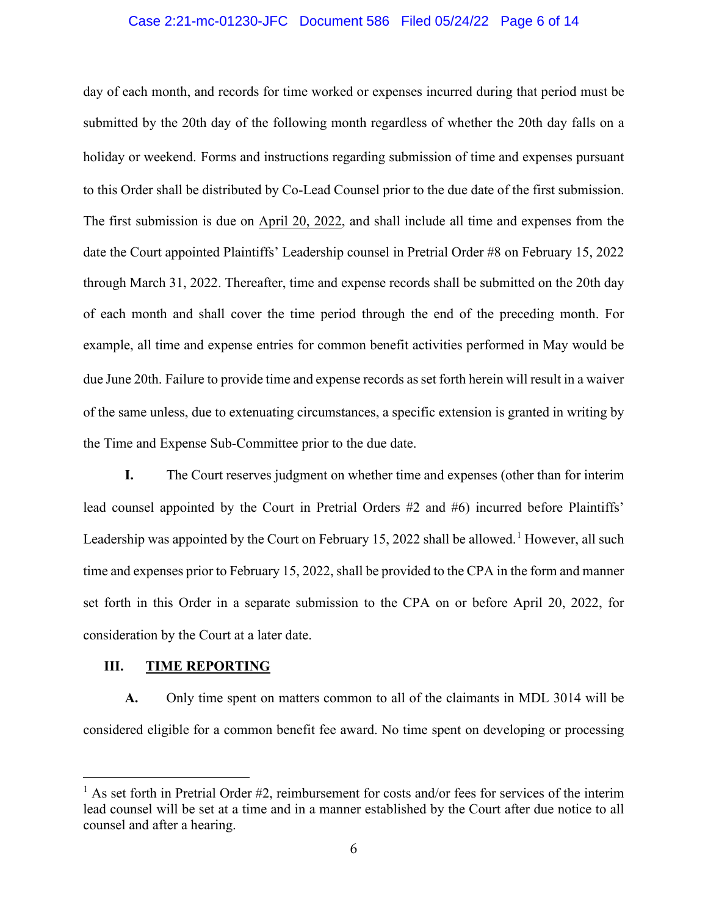### Case 2:21-mc-01230-JFC Document 586 Filed 05/24/22 Page 6 of 14

day of each month, and records for time worked or expenses incurred during that period must be submitted by the 20th day of the following month regardless of whether the 20th day falls on a holiday or weekend. Forms and instructions regarding submission of time and expenses pursuant to this Order shall be distributed by Co-Lead Counsel prior to the due date of the first submission. The first submission is due on April 20, 2022, and shall include all time and expenses from the date the Court appointed Plaintiffs' Leadership counsel in Pretrial Order #8 on February 15, 2022 through March 31, 2022. Thereafter, time and expense records shall be submitted on the 20th day of each month and shall cover the time period through the end of the preceding month. For example, all time and expense entries for common benefit activities performed in May would be due June 20th. Failure to provide time and expense records as set forth herein will result in a waiver of the same unless, due to extenuating circumstances, a specific extension is granted in writing by the Time and Expense Sub-Committee prior to the due date.

**I.** The Court reserves judgment on whether time and expenses (other than for interim lead counsel appointed by the Court in Pretrial Orders #2 and #6) incurred before Plaintiffs' Leadership was appointed by the Court on February [1](#page-5-0)5, 2022 shall be allowed.<sup>1</sup> However, all such time and expenses prior to February 15, 2022, shall be provided to the CPA in the form and manner set forth in this Order in a separate submission to the CPA on or before April 20, 2022, for consideration by the Court at a later date.

#### **III. TIME REPORTING**

**A.** Only time spent on matters common to all of the claimants in MDL 3014 will be considered eligible for a common benefit fee award. No time spent on developing or processing

<span id="page-5-0"></span> $<sup>1</sup>$  As set forth in Pretrial Order #2, reimbursement for costs and/or fees for services of the interim</sup> lead counsel will be set at a time and in a manner established by the Court after due notice to all counsel and after a hearing.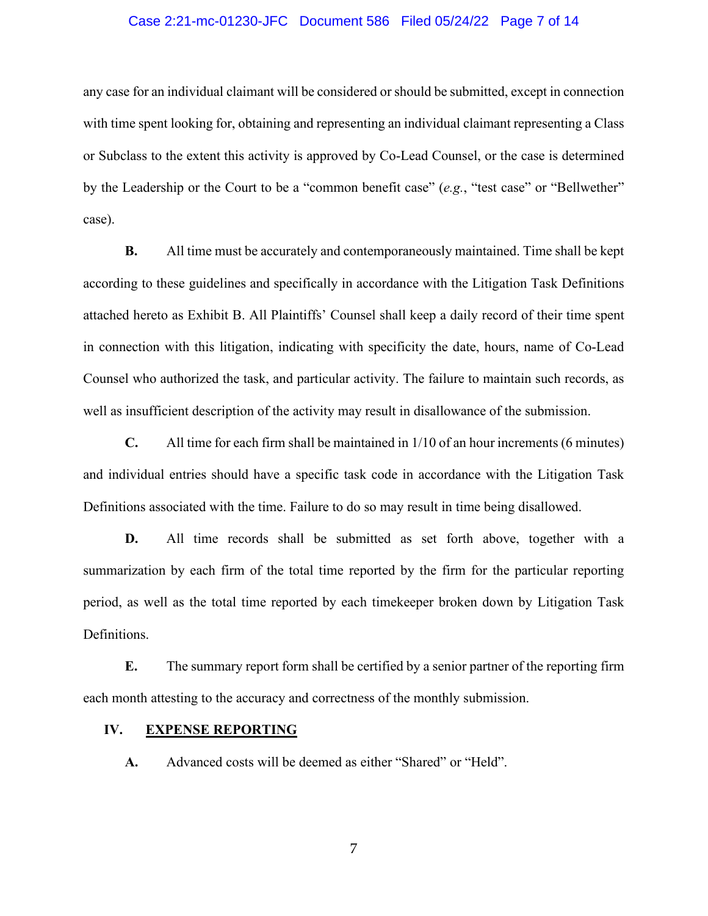### Case 2:21-mc-01230-JFC Document 586 Filed 05/24/22 Page 7 of 14

any case for an individual claimant will be considered or should be submitted, except in connection with time spent looking for, obtaining and representing an individual claimant representing a Class or Subclass to the extent this activity is approved by Co-Lead Counsel, or the case is determined by the Leadership or the Court to be a "common benefit case" (*e.g.*, "test case" or "Bellwether" case).

**B.** All time must be accurately and contemporaneously maintained. Time shall be kept according to these guidelines and specifically in accordance with the Litigation Task Definitions attached hereto as Exhibit B. All Plaintiffs' Counsel shall keep a daily record of their time spent in connection with this litigation, indicating with specificity the date, hours, name of Co-Lead Counsel who authorized the task, and particular activity. The failure to maintain such records, as well as insufficient description of the activity may result in disallowance of the submission.

**C.** All time for each firm shall be maintained in 1/10 of an hour increments (6 minutes) and individual entries should have a specific task code in accordance with the Litigation Task Definitions associated with the time. Failure to do so may result in time being disallowed.

**D.** All time records shall be submitted as set forth above, together with a summarization by each firm of the total time reported by the firm for the particular reporting period, as well as the total time reported by each timekeeper broken down by Litigation Task Definitions.

**E.** The summary report form shall be certified by a senior partner of the reporting firm each month attesting to the accuracy and correctness of the monthly submission.

### **IV. EXPENSE REPORTING**

**A.** Advanced costs will be deemed as either "Shared" or "Held".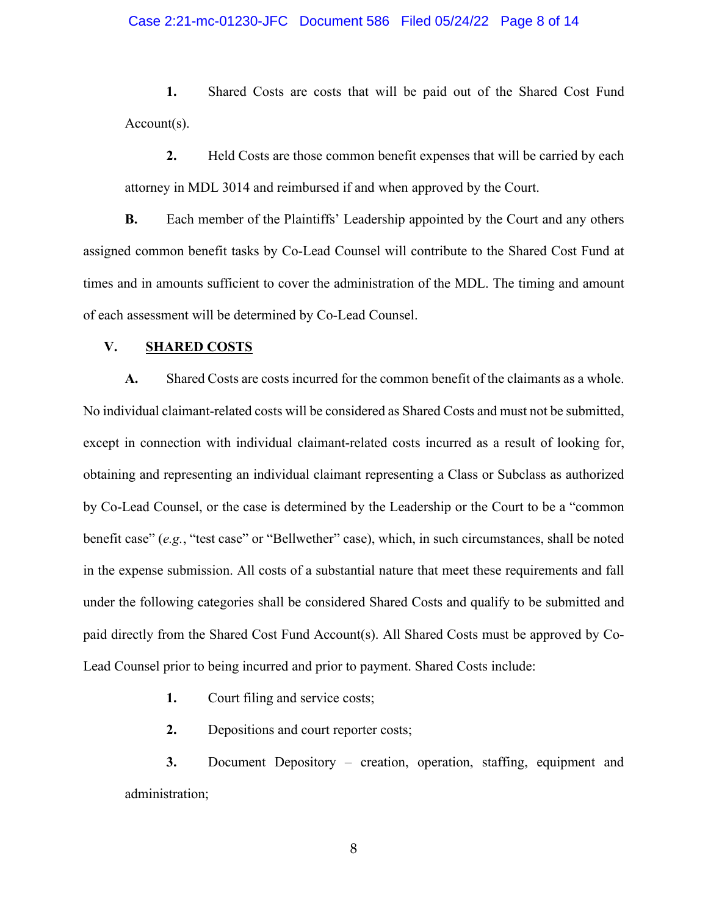### Case 2:21-mc-01230-JFC Document 586 Filed 05/24/22 Page 8 of 14

**1.** Shared Costs are costs that will be paid out of the Shared Cost Fund Account(s).

**2.** Held Costs are those common benefit expenses that will be carried by each attorney in MDL 3014 and reimbursed if and when approved by the Court.

**B.** Each member of the Plaintiffs' Leadership appointed by the Court and any others assigned common benefit tasks by Co-Lead Counsel will contribute to the Shared Cost Fund at times and in amounts sufficient to cover the administration of the MDL. The timing and amount of each assessment will be determined by Co-Lead Counsel.

### **V. SHARED COSTS**

**A.** Shared Costs are costs incurred for the common benefit of the claimants as a whole. No individual claimant-related costs will be considered as Shared Costs and must not be submitted, except in connection with individual claimant-related costs incurred as a result of looking for, obtaining and representing an individual claimant representing a Class or Subclass as authorized by Co-Lead Counsel, or the case is determined by the Leadership or the Court to be a "common benefit case" (*e.g.*, "test case" or "Bellwether" case), which, in such circumstances, shall be noted in the expense submission. All costs of a substantial nature that meet these requirements and fall under the following categories shall be considered Shared Costs and qualify to be submitted and paid directly from the Shared Cost Fund Account(s). All Shared Costs must be approved by Co-Lead Counsel prior to being incurred and prior to payment. Shared Costs include:

**1.** Court filing and service costs;

**2.** Depositions and court reporter costs;

**3.** Document Depository – creation, operation, staffing, equipment and administration;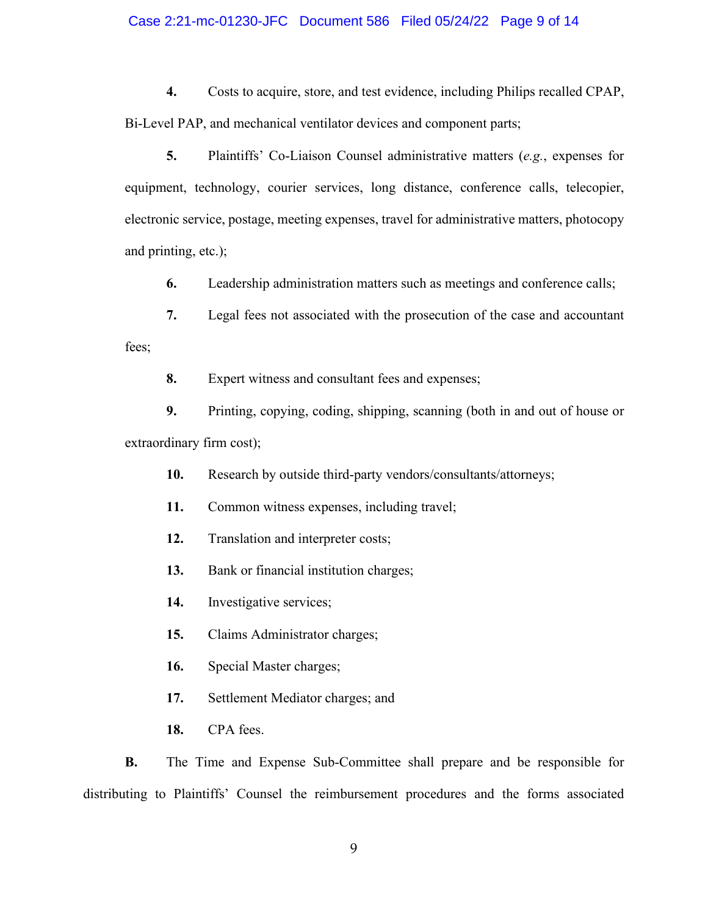### Case 2:21-mc-01230-JFC Document 586 Filed 05/24/22 Page 9 of 14

**4.** Costs to acquire, store, and test evidence, including Philips recalled CPAP, Bi-Level PAP, and mechanical ventilator devices and component parts;

**5.** Plaintiffs' Co-Liaison Counsel administrative matters (*e.g.*, expenses for equipment, technology, courier services, long distance, conference calls, telecopier, electronic service, postage, meeting expenses, travel for administrative matters, photocopy and printing, etc.);

**6.** Leadership administration matters such as meetings and conference calls;

**7.** Legal fees not associated with the prosecution of the case and accountant fees;

**8.** Expert witness and consultant fees and expenses;

**9.** Printing, copying, coding, shipping, scanning (both in and out of house or extraordinary firm cost);

**10.** Research by outside third-party vendors/consultants/attorneys;

**11.** Common witness expenses, including travel;

**12.** Translation and interpreter costs;

**13.** Bank or financial institution charges;

**14.** Investigative services;

**15.** Claims Administrator charges;

**16.** Special Master charges;

**17.** Settlement Mediator charges; and

**18.** CPA fees.

**B.** The Time and Expense Sub-Committee shall prepare and be responsible for distributing to Plaintiffs' Counsel the reimbursement procedures and the forms associated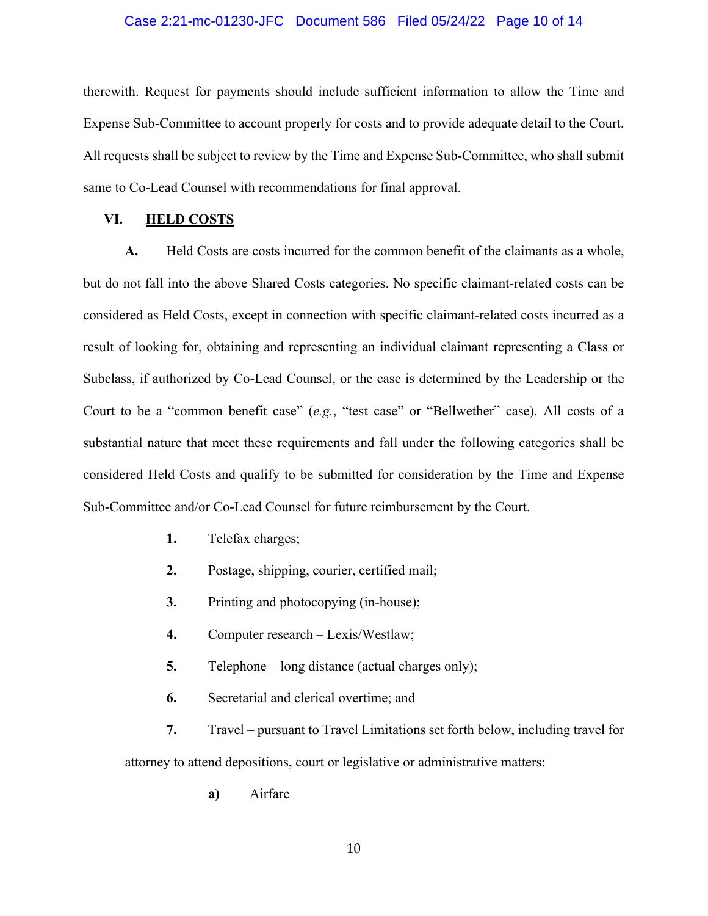### Case 2:21-mc-01230-JFC Document 586 Filed 05/24/22 Page 10 of 14

therewith. Request for payments should include sufficient information to allow the Time and Expense Sub-Committee to account properly for costs and to provide adequate detail to the Court. All requests shall be subject to review by the Time and Expense Sub-Committee, who shall submit same to Co-Lead Counsel with recommendations for final approval.

### **VI. HELD COSTS**

**A.** Held Costs are costs incurred for the common benefit of the claimants as a whole, but do not fall into the above Shared Costs categories. No specific claimant-related costs can be considered as Held Costs, except in connection with specific claimant-related costs incurred as a result of looking for, obtaining and representing an individual claimant representing a Class or Subclass, if authorized by Co-Lead Counsel, or the case is determined by the Leadership or the Court to be a "common benefit case" (*e.g.*, "test case" or "Bellwether" case). All costs of a substantial nature that meet these requirements and fall under the following categories shall be considered Held Costs and qualify to be submitted for consideration by the Time and Expense Sub-Committee and/or Co-Lead Counsel for future reimbursement by the Court.

- **1.** Telefax charges;
- **2.** Postage, shipping, courier, certified mail;
- **3.** Printing and photocopying (in-house);
- **4.** Computer research Lexis/Westlaw;
- **5.** Telephone long distance (actual charges only);
- **6.** Secretarial and clerical overtime; and

**7.** Travel – pursuant to Travel Limitations set forth below, including travel for attorney to attend depositions, court or legislative or administrative matters:

**a)** Airfare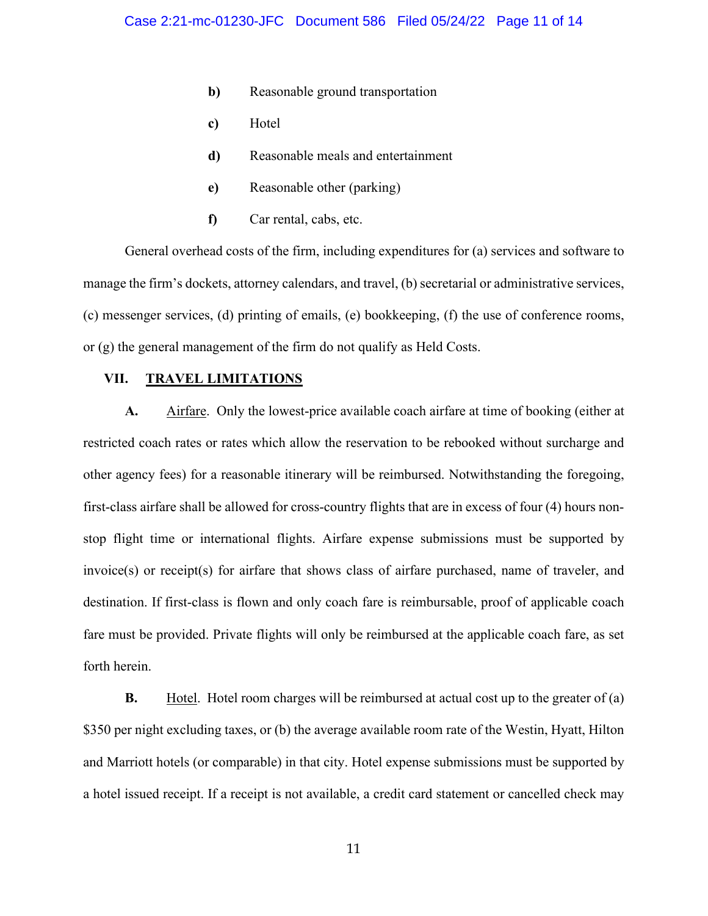- **b**) Reasonable ground transportation
- **c)** Hotel
- **d)** Reasonable meals and entertainment
- **e)** Reasonable other (parking)
- **f)** Car rental, cabs, etc.

General overhead costs of the firm, including expenditures for (a) services and software to manage the firm's dockets, attorney calendars, and travel, (b) secretarial or administrative services, (c) messenger services, (d) printing of emails, (e) bookkeeping, (f) the use of conference rooms, or (g) the general management of the firm do not qualify as Held Costs.

### **VII. TRAVEL LIMITATIONS**

**A.** Airfare. Only the lowest-price available coach airfare at time of booking (either at restricted coach rates or rates which allow the reservation to be rebooked without surcharge and other agency fees) for a reasonable itinerary will be reimbursed. Notwithstanding the foregoing, first-class airfare shall be allowed for cross-country flights that are in excess of four (4) hours nonstop flight time or international flights. Airfare expense submissions must be supported by invoice(s) or receipt(s) for airfare that shows class of airfare purchased, name of traveler, and destination. If first-class is flown and only coach fare is reimbursable, proof of applicable coach fare must be provided. Private flights will only be reimbursed at the applicable coach fare, as set forth herein.

**B.** Hotel. Hotel room charges will be reimbursed at actual cost up to the greater of (a) \$350 per night excluding taxes, or (b) the average available room rate of the Westin, Hyatt, Hilton and Marriott hotels (or comparable) in that city. Hotel expense submissions must be supported by a hotel issued receipt. If a receipt is not available, a credit card statement or cancelled check may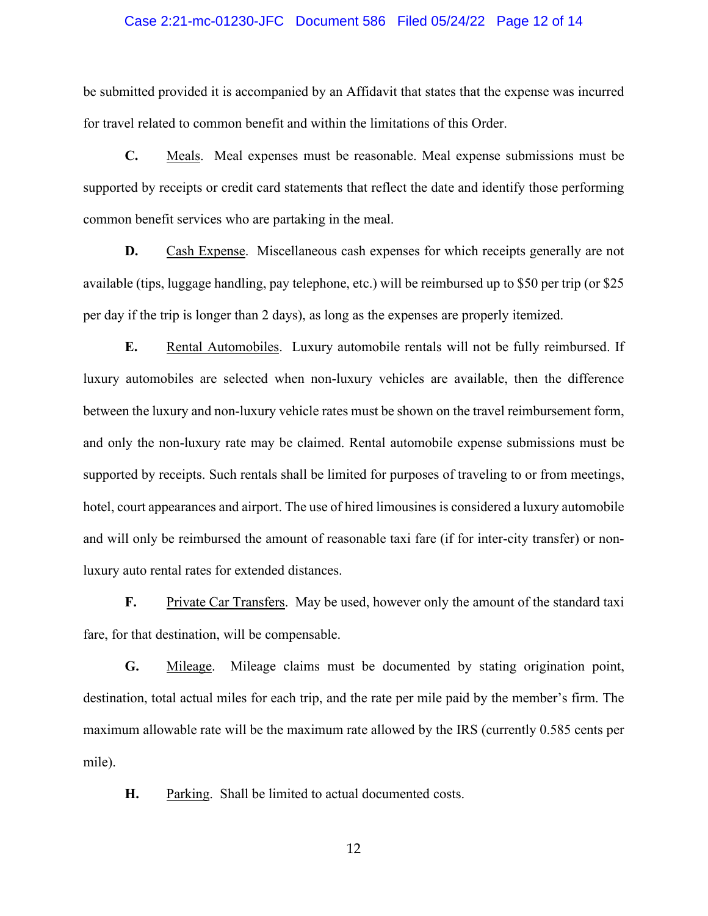### Case 2:21-mc-01230-JFC Document 586 Filed 05/24/22 Page 12 of 14

be submitted provided it is accompanied by an Affidavit that states that the expense was incurred for travel related to common benefit and within the limitations of this Order.

**C.** Meals. Meal expenses must be reasonable. Meal expense submissions must be supported by receipts or credit card statements that reflect the date and identify those performing common benefit services who are partaking in the meal.

**D.** Cash Expense. Miscellaneous cash expenses for which receipts generally are not available (tips, luggage handling, pay telephone, etc.) will be reimbursed up to \$50 per trip (or \$25 per day if the trip is longer than 2 days), as long as the expenses are properly itemized.

**E.** Rental Automobiles. Luxury automobile rentals will not be fully reimbursed. If luxury automobiles are selected when non-luxury vehicles are available, then the difference between the luxury and non-luxury vehicle rates must be shown on the travel reimbursement form, and only the non-luxury rate may be claimed. Rental automobile expense submissions must be supported by receipts. Such rentals shall be limited for purposes of traveling to or from meetings, hotel, court appearances and airport. The use of hired limousines is considered a luxury automobile and will only be reimbursed the amount of reasonable taxi fare (if for inter-city transfer) or nonluxury auto rental rates for extended distances.

**F.** Private Car Transfers. May be used, however only the amount of the standard taxi fare, for that destination, will be compensable.

**G.** Mileage.Mileage claims must be documented by stating origination point, destination, total actual miles for each trip, and the rate per mile paid by the member's firm. The maximum allowable rate will be the maximum rate allowed by the IRS (currently 0.585 cents per mile).

**H.** Parking. Shall be limited to actual documented costs.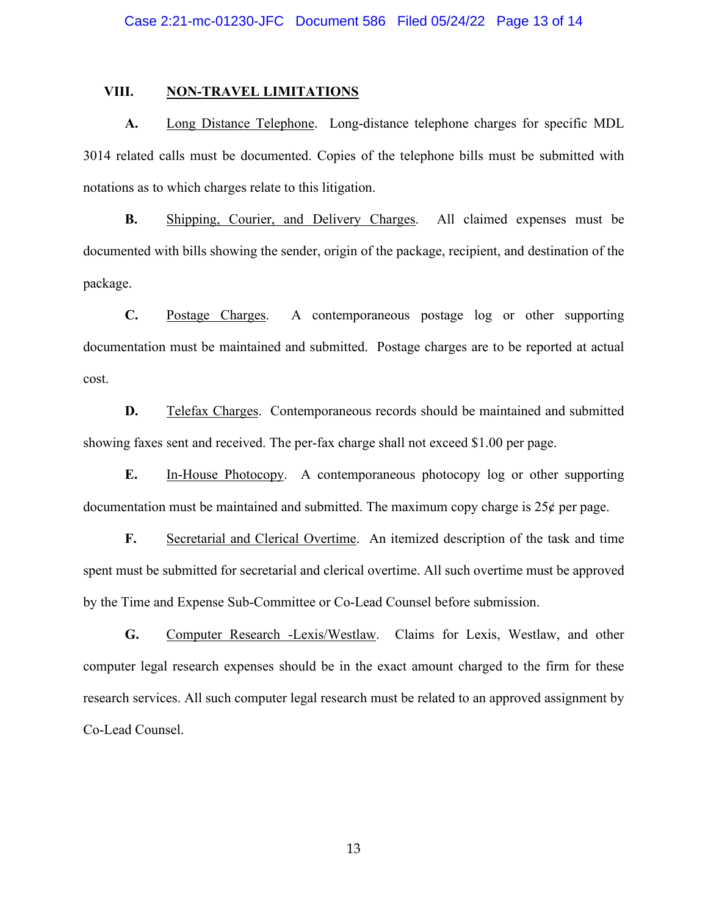#### **VIII. NON-TRAVEL LIMITATIONS**

**A.** Long Distance Telephone. Long-distance telephone charges for specific MDL 3014 related calls must be documented. Copies of the telephone bills must be submitted with notations as to which charges relate to this litigation.

**B.** Shipping, Courier, and Delivery Charges. All claimed expenses must be documented with bills showing the sender, origin of the package, recipient, and destination of the package.

**C.** Postage Charges. A contemporaneous postage log or other supporting documentation must be maintained and submitted. Postage charges are to be reported at actual cost.

**D.** Telefax Charges. Contemporaneous records should be maintained and submitted showing faxes sent and received. The per-fax charge shall not exceed \$1.00 per page.

**E.** In-House Photocopy. A contemporaneous photocopy log or other supporting documentation must be maintained and submitted. The maximum copy charge is  $25¢$  per page.

**F.** Secretarial and Clerical Overtime. An itemized description of the task and time spent must be submitted for secretarial and clerical overtime. All such overtime must be approved by the Time and Expense Sub-Committee or Co-Lead Counsel before submission.

**G.** Computer Research -Lexis/Westlaw. Claims for Lexis, Westlaw, and other computer legal research expenses should be in the exact amount charged to the firm for these research services. All such computer legal research must be related to an approved assignment by Co-Lead Counsel.